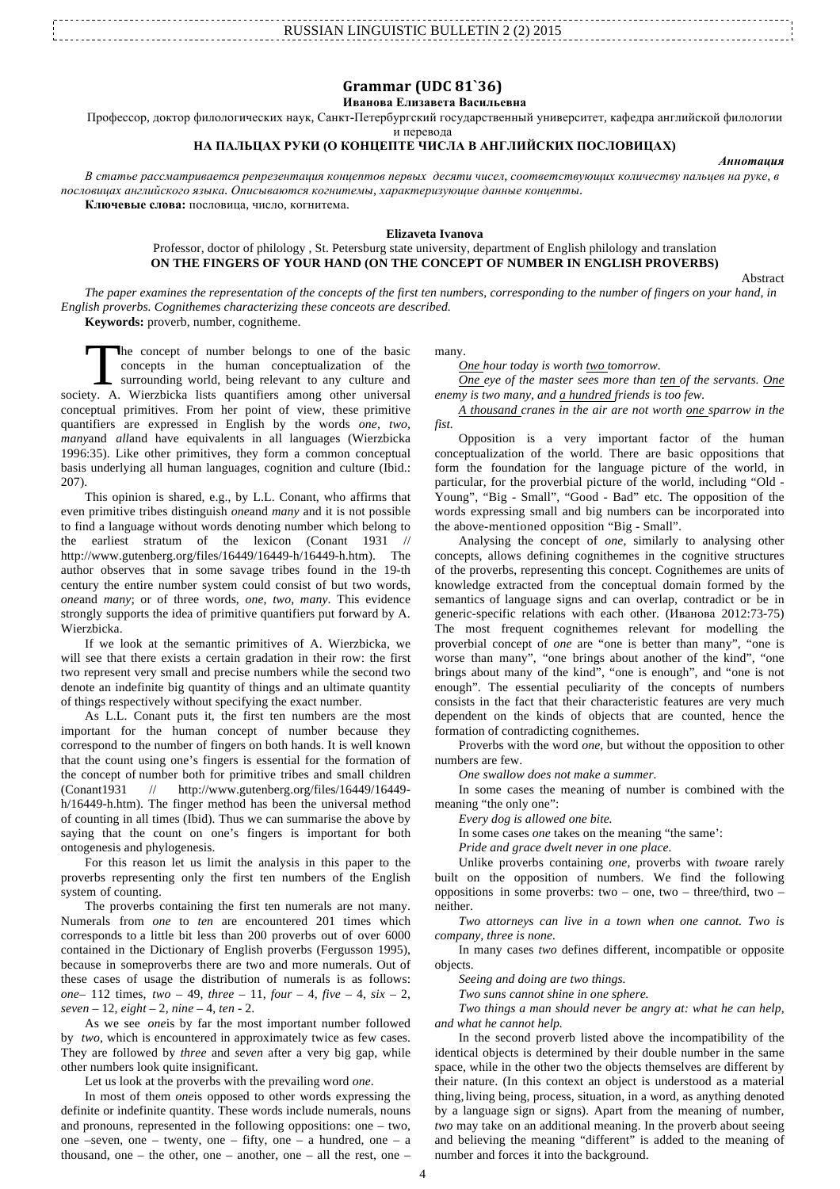| LINGUISTIC BULLETIN 2.02. |  |
|---------------------------|--|
|                           |  |

# **Grammar (UDC 81`36)**

## **Иванова Елизавета Васильевна**

Профессор, доктор филологических наук, Санкт-Петербургский государственный университет, кафедра английской филологии

и перевода

## **НА ПАЛЬЦАХ РУКИ (О КОНЦЕПТЕ ЧИСЛА В АНГЛИЙСКИХ ПОСЛОВИЦАХ)**

В статье рассматривается репрезентация концептов первых десяти чисел, соответствующих количеству пальцев на руке, в *пословицах английского языка. Описываются когнитемы, характеризующие данные концепты.* **Ключевые слова:** пословица, число, когнитема.

#### **Elizaveta Ivanova**

## Professor, doctor of philology , St. Petersburg state university, department of English philology and translation **ON THE FINGERS OF YOUR HAND (ON THE CONCEPT OF NUMBER IN ENGLISH PROVERBS)**

Abstract

*Аннотация*

*The paper examines the representation of the concepts of the first ten numbers, corresponding to the number of fingers on your hand, in English proverbs. Cognithemes characterizing these conceots are described.* **Keywords:** proverb, number, cognitheme.

he concept of number belongs to one of the basic concepts in the human conceptualization of the surrounding world, being relevant to any culture and The concept of number belongs to one of the basic concepts in the human conceptualization of the surrounding world, being relevant to any culture and society. A. Wierzbicka lists quantifiers among other universal conceptual primitives. From her point of view, these primitive quantifiers are expressed in English by the words *one, two, many*and *all*and have equivalents in all languages (Wierzbicka 1996:35). Like other primitives, they form a common conceptual basis underlying all human languages, cognition and culture (Ibid.: 207).

This opinion is shared, e.g., by L.L. Conant, who affirms that even primitive tribes distinguish *one*and *many* and it is not possible to find a language without words denoting number which belong to the earliest stratum of the lexicon (Conant 1931 // http://www.gutenberg.org/files/16449/16449-h/16449-h.htm). The author observes that in some savage tribes found in the 19-th century the entire number system could consist of but two words, *one*and *many*; or of three words, *one*, *two*, *many*. This evidence strongly supports the idea of primitive quantifiers put forward by A. Wierzbicka.

If we look at the semantic primitives of A. Wierzbicka, we will see that there exists a certain gradation in their row: the first two represent very small and precise numbers while the second two denote an indefinite big quantity of things and an ultimate quantity of things respectively without specifying the exact number.

As L.L. Conant puts it, the first ten numbers are the most important for the human concept of number because they correspond to the number of fingers on both hands. It is well known that the count using one's fingers is essential for the formation of the concept of number both for primitive tribes and small children (Conant1931 // http://www.gutenberg.org/files/16449/16449 h/16449-h.htm). The finger method has been the universal method of counting in all times (Ibid). Thus we can summarise the above by saying that the count on one's fingers is important for both ontogenesis and phylogenesis.

For this reason let us limit the analysis in this paper to the proverbs representing only the first ten numbers of the English system of counting.

The proverbs containing the first ten numerals are not many. Numerals from *one* to *ten* are encountered 201 times which corresponds to a little bit less than 200 proverbs out of over 6000 contained in the Dictionary of English proverbs (Fergusson 1995), because in someproverbs there are two and more numerals. Out of these cases of usage the distribution of numerals is as follows: *one*– 112 times, *two* – 49, *three* – 11, *four* – 4, *five* – 4, *six* – 2, *seven* – 12, *eight* – 2, *nine* – 4, *ten* - 2.

As we see *one*is by far the most important number followed by *two*, which is encountered in approximately twice as few cases. They are followed by *three* and *seven* after a very big gap, while other numbers look quite insignificant.

Let us look at the proverbs with the prevailing word *one*.

In most of them *one*is opposed to other words expressing the definite or indefinite quantity. These words include numerals, nouns and pronouns, represented in the following oppositions: one – two, one –seven, one – twenty, one – fifty, one – a hundred, one – a thousand, one – the other, one – another, one – all the rest, one –

many.

*One hour today is worth two tomorrow.*

*One eye of the master sees more than ten of the servants. One enemy is two many, and a hundred friends is too few.*

*A thousand cranes in the air are not worth one sparrow in the fist.*

Opposition is a very important factor of the human conceptualization of the world. There are basic oppositions that form the foundation for the language picture of the world, in particular, for the proverbial picture of the world, including "Old - Young", "Big - Small", "Good - Bad" etc. The opposition of the words expressing small and big numbers can be incorporated into the above-mentioned opposition "Big - Small".

Analysing the concept of *one*, similarly to analysing other concepts, allows defining cognithemes in the cognitive structures of the proverbs, representing this concept. Cognithemes are units of knowledge extracted from the conceptual domain formed by the semantics of language signs and can overlap, contradict or be in generic-specific relations with each other. (Иванова 2012:73-75) The most frequent cognithemes relevant for modelling the proverbial concept of *one* are "one is better than many", "one is worse than many", "one brings about another of the kind", "one brings about many of the kind", "one is enough", and "one is not enough". The essential peculiarity of the concepts of numbers consists in the fact that their characteristic features are very much dependent on the kinds of objects that are counted, hence the formation of contradicting cognithemes.

Proverbs with the word *one*, but without the opposition to other numbers are few.

*One swallow does not make a summer.*

In some cases the meaning of number is combined with the meaning "the only one":

*Every dog is allowed one bite.*

In some cases *one* takes on the meaning "the same':

*Pride and grace dwelt never in one place.*

Unlike proverbs containing *one*, proverbs with *two*are rarely built on the opposition of numbers. We find the following oppositions in some proverbs: two – one, two – three/third, two – neither.

*Two attorneys can live in a town when one cannot. Two is company, three is none.*

In many cases *two* defines different, incompatible or opposite objects.

*Seeing and doing are two things.*

*Two suns cannot shine in one sphere.*

*Two things a man should never be angry at: what he can help, and what he cannot help.*

In the second proverb listed above the incompatibility of the identical objects is determined by their double number in the same space, while in the other two the objects themselves are different by their nature. (In this context an object is understood as a material thing,living being, process, situation, in a word, as anything denoted by a language sign or signs). Apart from the meaning of number, *two* may take on an additional meaning. In the proverb about seeing and believing the meaning "different" is added to the meaning of number and forces it into the background.